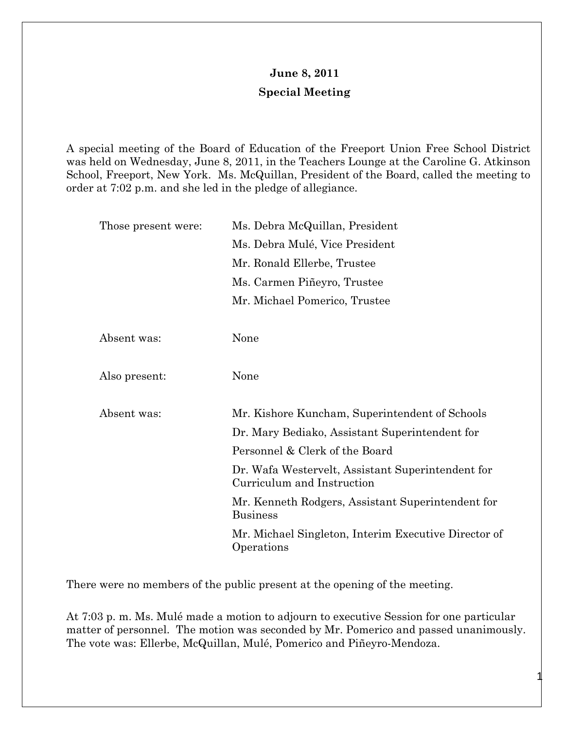## **June 8, 2011 Special Meeting**

A special meeting of the Board of Education of the Freeport Union Free School District was held on Wednesday, June 8, 2011, in the Teachers Lounge at the Caroline G. Atkinson School, Freeport, New York. Ms. McQuillan, President of the Board, called the meeting to order at 7:02 p.m. and she led in the pledge of allegiance.

| Those present were: | Ms. Debra McQuillan, President                                                  |
|---------------------|---------------------------------------------------------------------------------|
|                     | Ms. Debra Mulé, Vice President                                                  |
|                     | Mr. Ronald Ellerbe, Trustee                                                     |
|                     | Ms. Carmen Piñeyro, Trustee                                                     |
|                     | Mr. Michael Pomerico, Trustee                                                   |
|                     |                                                                                 |
| Absent was:         | None                                                                            |
|                     |                                                                                 |
| Also present:       | None                                                                            |
|                     |                                                                                 |
| Absent was:         | Mr. Kishore Kuncham, Superintendent of Schools                                  |
|                     | Dr. Mary Bediako, Assistant Superintendent for                                  |
|                     | Personnel & Clerk of the Board                                                  |
|                     | Dr. Wafa Westervelt, Assistant Superintendent for<br>Curriculum and Instruction |
|                     | Mr. Kenneth Rodgers, Assistant Superintendent for<br><b>Business</b>            |
|                     | Mr. Michael Singleton, Interim Executive Director of<br>Operations              |

There were no members of the public present at the opening of the meeting.

At 7:03 p. m. Ms. Mulé made a motion to adjourn to executive Session for one particular matter of personnel. The motion was seconded by Mr. Pomerico and passed unanimously. The vote was: Ellerbe, McQuillan, Mulé, Pomerico and Piñeyro-Mendoza.

1